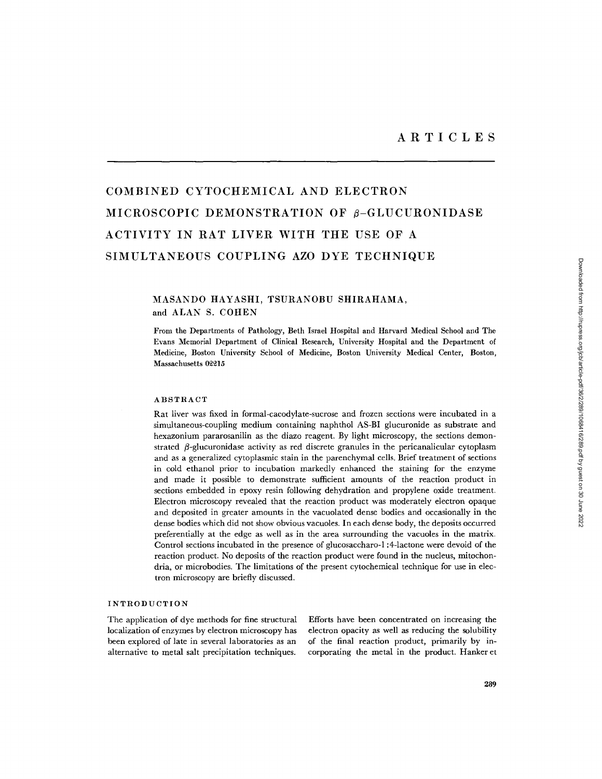# COMBINED CYTOCHEMICAL AND ELECTRON MICROSCOPIC DEMONSTRATION OF  $\beta$ -GLUCURONIDASE ACTIVITY IN RAT LIVER WITH THE USE OF A SIMULTANEOUS COUPLING AZO DYE TECHNIQUE

## MASANDO HAYASHI, TSURANOBU SHIRAHAMA, and ALAN S. COHEN

From the Departments of Pathology, Beth Israel Hospital and Harvard Medical School and The Evans Memorial Department of Clinical Research, University Hospital and the Department of Medicine, Boston University School of Medicine, Boston University Medical Center, Boston, Massachusetts 02215

## ABSTRACT

Rat liver was fixed in formal-cacodylate-sucrose and frozen sections were incubated in a simultaneous-coupling medium containing naphthol AS-BI glucuronide as substrate and hexazonium pararosanilin as the diazo reagent. By light microscopy, the sections demonstrated  $\beta$ -glucuronidase activity as red discrete granules in the pericanalicular cytoplasm and as a generalized cytoplasmic stain in the parenchymal cells. Brief treatment of sections in cold ethanol prior to incubation markedly enhanced the staining for the enzyme and made it possible to demonstrate sufficient amounts of the reaction product in sections embedded in epoxy resin following dehydration and propylene oxide treatment. Electron microscopy revealed that the reaction product was moderately electron opaque and deposited in greater amounts in the vacuolated dense bodies and occasionally in the dense bodies which did not show obvious vacuoles. In each dense body, the deposits occurred preferentially at the edge as well as in the area surrounding the vacuoles in the matrix. Control sections incubated in the presence of glucosaccharo-l :4-lactone were devoid of the reaction product. No deposits of the reaction product were found in the nucleus, mitochondria, or microbodies. The limitations of the present cytochemical technique for use in electron microscopy are briefly discussed.

## **INTRODUCTION**

The application of dye methods for fine structural Efforts have been concentrated on increasing the localization of enzymes by electron microscopy has electron opacity as well as reducing the solubility been explored of late in several laboratories as an of the final reaction product, primarily by inalternative to metal salt precipitation techniques. corporating the metal in the product. Hanker et

**289**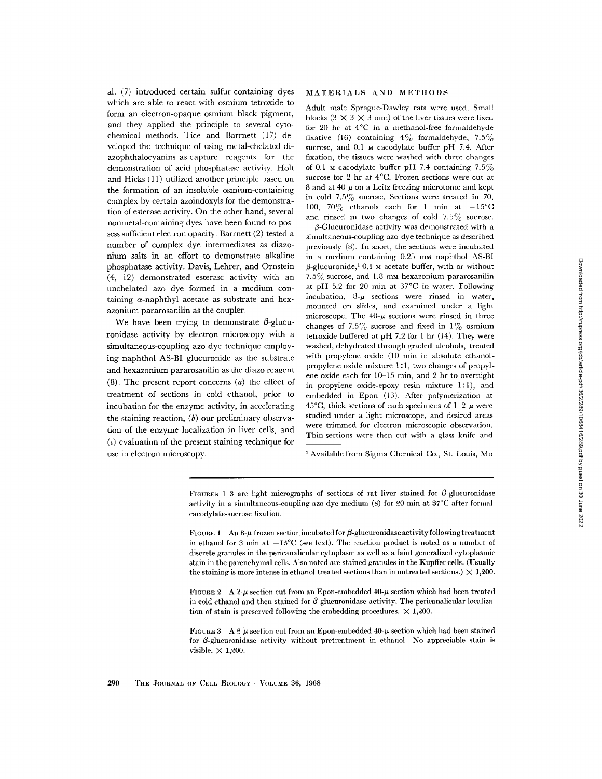al. (7) introduced certain sulfur-containing dyes which are able to react with osmium tetroxide to form an electron-opaque osmium black pigment, and they applied the principle to several cytochemical methods. Tice and Barrnett (17) developed the technique of using metal-chelated diazophthalocyanins as capture reagents for the demonstration of acid phosphatase activity. Holt and Hicks (11) utilized another principle based on the formation of an insoluble osmium-containing complex by certain azoindoxyls for the demonstration of esterase activity. On the other hand, several nonmetal-containing dyes have been found to possess sufficient electron opacity. Barrnett (2) tested a number of complex dye intermediates as diazonium salts in an effort to demonstrate alkaline phosphatase activity. Davis, Lehrer, and Ornstein (4, 12) demonstrated esterase activity with an unchelated azo dye formed in a medium containing  $\alpha$ -naphthyl acetate as substrate and hexazonium pararosanilin as the coupler.

We have been trying to demonstrate  $\beta$ -glucuronidase activity by electron microscopy with a simultaneous-coupling azo dye technique employing naphthol AS-BI glucuronide as the substrate and hexazonium pararosanilin as the diazo reagent (8). The present report concerns (a) the effect of treatment of sections in cold ethanol, prior to incubation for the enzyme activity, in accelerating the staining reaction, *(b)* our preliminary observation of the enzyme localization in liver cells, and *(c)* evaluation of the present staining technique for use in electron microscopy.

## MATERIALS AND METHODS

Adult male Sprague-Dawley rats were used. Small blocks  $(3 \times 3 \times 3 \text{ mm})$  of the liver tissues were fixed for 20 hr at  $4^{\circ}$ C in a methanol-free formaldehyde fixative (16) containing  $4\%$  formaldehyde, 7.5% sucrose, and 0.1 M cacodylate buffer pH 7.4. After fixation, the tissues were washed with three changes of 0.1 M cacodylate buffer pH 7.4 containing *7.5%* sucrose for 2 hr at  $4^{\circ}$ C. Frozen sections were cut at 8 and at 40  $\mu$  on a Leitz freezing microtome and kept in cold 7.5% sucrose. Sections were treated in 70, 100, 70% ethanols each for 1 min at  $-15^{\circ}$ C and rinsed in two changes of cold  $7.5\%$  sucrose.

B-Glucuronidase activity was demonstrated with a simultaneous-coupling azo dye technique as described previously (8). In short, the sections were incubated in a medium containing 0.25 mm naphthol AS-BI  $\beta$ -glucuronide,<sup>1</sup> 0.1 M acetate buffer, with or without  $7.5\%$  sucrose, and 1.8 mm hexazonium pararosanilin at pH 5.2 for 20 min at 37°C in water. Following incubation,  $8-\mu$  sections were rinsed in water, mounted on slides, and examined under a light microscope. The  $40-\mu$  sections were rinsed in three changes of 7.5% sucrose and fixed in  $1\%$  osmium tetroxide buffered at pH 7.2 for 1 hr (14). They were washed, dehydrated through graded alcohols, treated with propylene oxide (10 min in absolute ethanolpropylene oxide mixture 1:1, two changes of propylene oxide each for 10-15 min, and 2 hr to overnight in propylene oxide-epoxy resin mixture 1:1), and embedded in Epon (13). After polymerization at 45°C, thick sections of each specimens of  $1-2$   $\mu$  were studied under a light microscope, and desired areas were trimmed for electron microscopic observation. Thin sections were then cut with a glass knife and

I Available from Sigma Chemical Co., St. Louis, Mo

FIGURES 1-3 are light micrographs of sections of rat liver stained for  $\beta$ -glueuronidase activity in a simultaneous-coupling azo dye medium  $(8)$  for  $20$  min at  $37^{\circ}$ C after formalcacodylate-sucrose fixation.

FIGURE 1 An 8-µ frozen section incubated for  $\beta$ -glucuronidase activity following treatment in ethanol for 3 min at  $-15^{\circ}$ C (see text). The reaction product is noted as a number of discrete granules in the pericanalicular cytoplasm as well as a faint generalized cytoplasmic stain in the parenchymal cells. Also noted are stained granules in the Kupffer cells. (Usually the staining is more intense in ethanol-treated sections than in untreated sections.)  $\times$  1,200.

FIGURE 2 A 2- $\mu$  section cut from an Epon-embedded 40- $\mu$  section which had been treated in cold ethanol and then stained for  $\beta$ -glucuronidase activity. The pericanalicular localization of stain is preserved following the embedding procedures.  $\times$  1,200.

FIGURE 3 A  $2-\mu$  section cut from an Epon-embedded  $40-\mu$  section which had been stained for  $\beta$ -glucuronidase activity without pretreatment in ethanol. No appreciable stain is visible.  $\times$  1,200.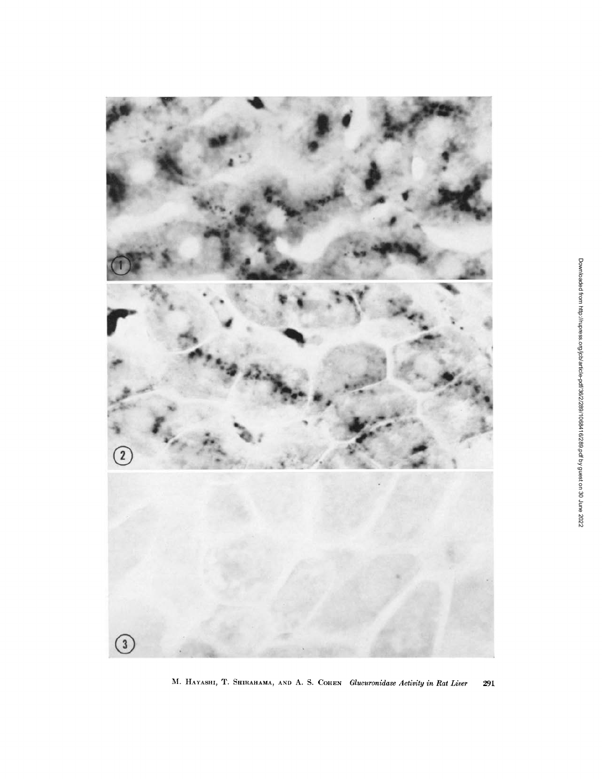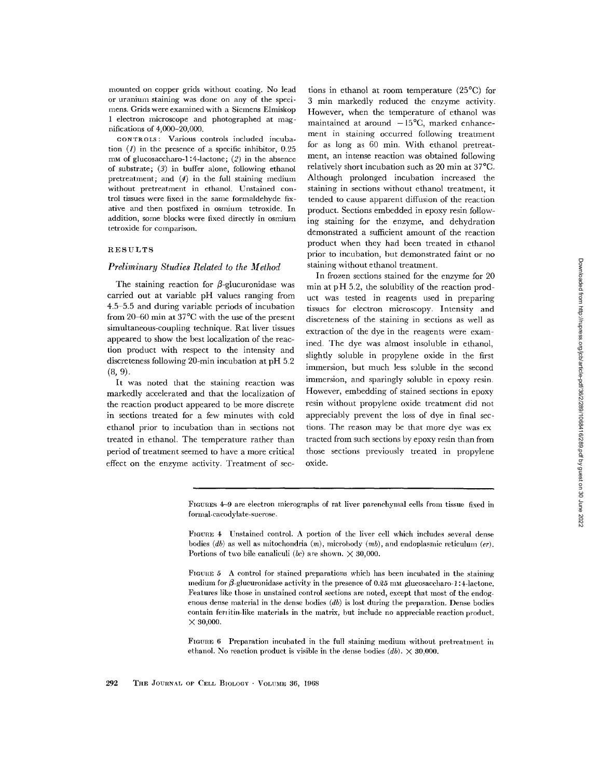mounted on copper grids without coating. No lead or uranium staining was done on any of the specimens. Grids were examined with a Siemens Elmiskop 1 electron microscope and photographed at magnifications of 4,000-20,000.

CONTROLS: Various controls included incubation *(1)* in the presence of a specific inhibitor, 0.25 mM of glucosaccharo-l :4-lactone; *(2)* in the absence of substrate; (3) in buffer alone, following ethanol pretreatment; and (4) in the full staining medium without pretreatment in ethanol. Unstained control tissues were fixed in the same formaldehyde fixative and then postfixed in osmium tetroxide. In addition, some blocks were fixed directly in osmium tetroxide for comparison.

## RESULTS

#### *Preliminary Studies Related to the Method*

The staining reaction for  $\beta$ -glucuronidase was carried out at variable pH values ranging from 4.5-5.5 and during variable periods of incubation from 20-60 min at  $37^{\circ}$ C with the use of the present simultaneous-coupling technique. Rat liver tissues appeared to show the best localization of the reaction product with respect to the intensity and discreteness following 20-min incubation at pH 5.2 (8, 9).

It was noted that the staining reaction was markedly accelerated and that the localization of the reaction product appeared to be more discrete in sections treated for a few minutes with cold ethanol prior to incubation than in sections not treated in ethanol. The temperature rather than period of treatment seemed to have a more critical effect on the enzyme activity. Treatment of sections in ethanol at room temperature  $(25^{\circ}C)$  for 3 min markedly reduced the enzyme activity. However, when the temperature of ethanol was maintained at around  $-15^{\circ}$ C, marked enhancement in staining occurred following treatment for as long as 60 min. With ethanol pretreatment, an intense reaction was obtained following relatively short incubation such as 20 min at 37°C. Although prolonged incubation increased the staining in sections without ethanol treatment, it tended to cause apparent diffusion of the reaction product. Sections embedded in epoxy resin following staining for the enzyme, and dehydration demonstrated a sufficient amount of the reaction product when they had been treated in ethanol prior to incubation, but demonstrated faint or no staining without ethanol treatment.

In frozen sections stained for the enzyme for 20 min at pH 5.2, the solubility of the reaction product was tested in reagents used in preparing tissues for electron microscopy. Intensity and discreteness of the staining in sections as well as extraction of the dye in the reagents were examined. The dye was almost insoluble in ethanol, slightly soluble in propylene oxide in the first immersion, but much less soluble in the second immersion, and sparingly soluble in epoxy resin. However, embedding of stained sections in epoxy resin without propylene oxide treatment did not appreciably prevent the loss of dye in final sections. The reason may be that more dye was ex tracted from such sections by epoxy resin than from those sections previously treated in propylene oxide.

FIGunEs 4-9 are electron micrographs of rat liver parenchyinal cells from tissue fixed in formal-cacodylate-sucrose.

FIGURE 4 Unstained control. A portion of the liver cell which includes several dense bodies *(db)* as well as mitochondria *(m)*, microbody *(mb)*, and endoplasmic reticulum *(er)*. Portions of two bile canaliculi *(bc)* are shown.  $\times$  30,000.

FIGURE  $5$  A control for stained preparations which has been incubated in the staining medium for  $\beta$ -glucuronidase activity in the presence of 0.25 mm glucosaccharo-1:4-lactone. Features like those in unstained control sections are noted, except that most of the endogenous dense material in the dense bodies *(db)* is lost during the preparation. Dense bodies contain feritin-like materials in the matrix, but include no appreciable reaction product.  $\times$  30,000.

FIGUrE 6 Preparation incubated in the full staining medium without pretreatment in ethanol. No reaction product is visible in the dense bodies  $(db) \times 30,000$ .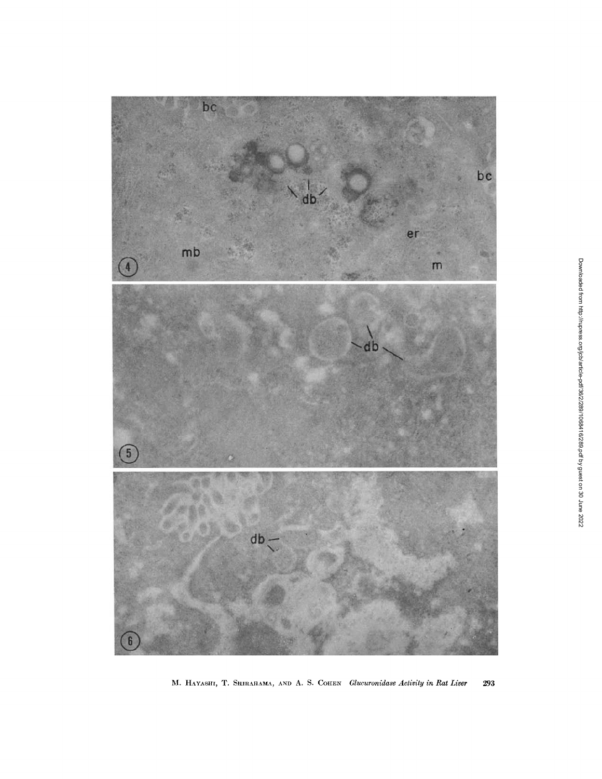

M. HAYASHI, T. SHIRAHAMA, AND A. S. COHEN *Glucuronidase Activity in Rat Liver* 293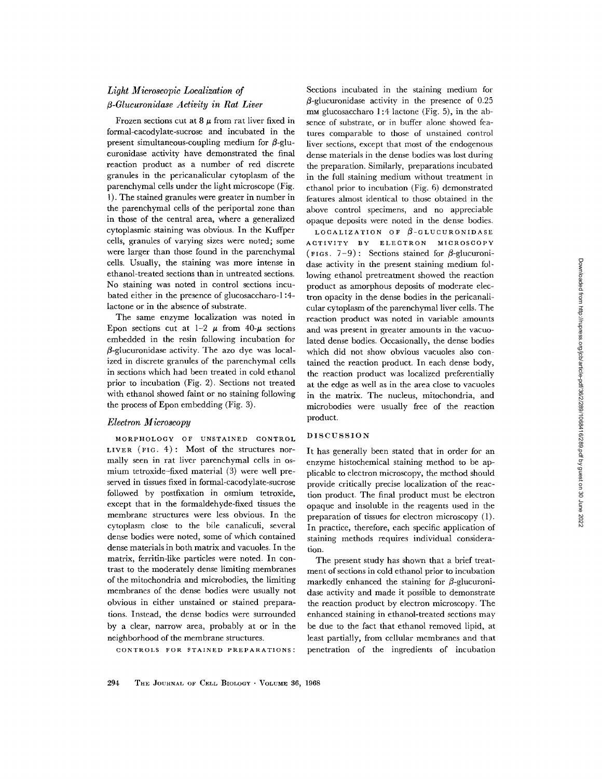# *Light Microscopic Localization of /3-Glucuronidase Activity in Rat Liver*

Frozen sections cut at  $8 \mu$  from rat liver fixed in formal-cacodylate-sucrose and incubated in the present simultaneous-coupling medium for  $\beta$ -glucuronidase activity have demonstrated the final reaction product as a number of red discrete granules in the pericanalicular cytoplasm of the parenchymal cells under the light microscope (Fig. 1). The stained granules were greater in number in the parenchymal cells of the periportal zone than in those of the central area, where a generalized cytoplasmic staining was obvious. In the Kuffper cells, granules of varying sizes were noted; some were larger than those found in the parenchymal cells. Usually, the staining was more intense in ethanol-treated sections than in untreated sections. No staining was noted in control sections incubated either in the presence of glucosaccharo-l :4 lactone or in the absence of substrate.

The same enzyme localization was noted in Epon sections cut at 1-2  $\mu$  from 40- $\mu$  sections embedded in the resin following incubation for  $\beta$ -glucuronidase activity. The azo dye was localized in discrete granules of the parenchymal cells in sections which had been treated in cold ethanol prior to incubation (Fig. 2). Sections not treated with ethanol showed faint or no staining following the process of Epon embedding (Fig. 3).

## *Electron Microscopy*

MORPHOLOGY OF UNSTAINED CONTROL LIVER (FIG. 4): Most of the structures normally seen in rat liver parenchymal cells in osmium tetroxide-fixed material (3) were well preserved in tissues fixed in formal-cacodylate-sucrose followed by postfixation in osmium tetroxide, except that in the formaldehyde-fixed tissues the membrane structures were less obvious. In the cytoplasm close to the bile canaliculi, several dense bodies were noted, some of which contained dense materials in both matrix and vacuoles. In the matrix, ferritin-like particles were noted. In contrast to the moderately dense limiting membranes of the mitochondria and microbodies, the limiting membranes of the dense bodies were usually not obvious in either unstained or stained preparations. Instead, the dense bodies were surrounded by a clear, narrow area, probably at or in the neighborhood of the membrane structures.

CONTROLS FOR STAINED PREPARATIONS:

Sections incubated in the staining medium for  $\beta$ -glucuronidase activity in the presence of 0.25 mm glucosaccharo  $1:4$  lactone (Fig. 5), in the absence of substrate, or in buffer alone showed features comparable to those of unstained control liver sections, except that most of the endogenous dense materials in the dense bodies was lost during the preparation. Similarly, preparations incubated in the full staining medium without treatment in ethanol prior to incubation (Fig. 6) demonstrated features almost identical to those obtained in the above control specimens, and no appreciable opaque deposits were noted in the dense bodies.

LOCALIZATION OF  $\beta$ -GLUCURONIDASE ACTIVITY BY ELECTRON MICROSCOPY (FIGS. 7-9): Sections stained for  $\beta$ -glucuronidase activity in the present staining medium following ethanol pretreatment showed the reaction product as amorphous deposits of moderate electron opacity in the dense bodies in the pericanalicular cytoplasm of the parenchymal liver cells. The reaction product was noted in variable amounts and was present in greater amounts in the vacuolated dense bodies. Occasionally, the dense bodies which did not show obvious vacuoles also contained the reaction product. In each dense body, the reaction product was localized preferentially at the edge as well as in the area close to vacuoles in the matrix. The nucleus, mitochondria, and microbodies were usually free of the reaction product.

## **DISCUSSION**

It has generally been stated that in order for an enzyme histochemical staining method to be applicable to electron microscopy, the method should provide critically precise localization of the reaction product. The final product must be electron opaque and insoluble in the reagents used in the preparation of tissues for electron microscopy (1). In practice, therefore, each specific application of staining methods requires individual consideration.

The present study has shown that a brief treatment of sections in cold ethanol prior to incubation markedly enhanced the staining for  $\beta$ -glucuronidase activity and made it possible to demonstrate the reaction product by electron microscopy. The enhanced staining in ethanol-treated sections may be due to the fact that ethanol removed lipid, at least partially, from cellular membranes and that penetration of the ingredients of incubation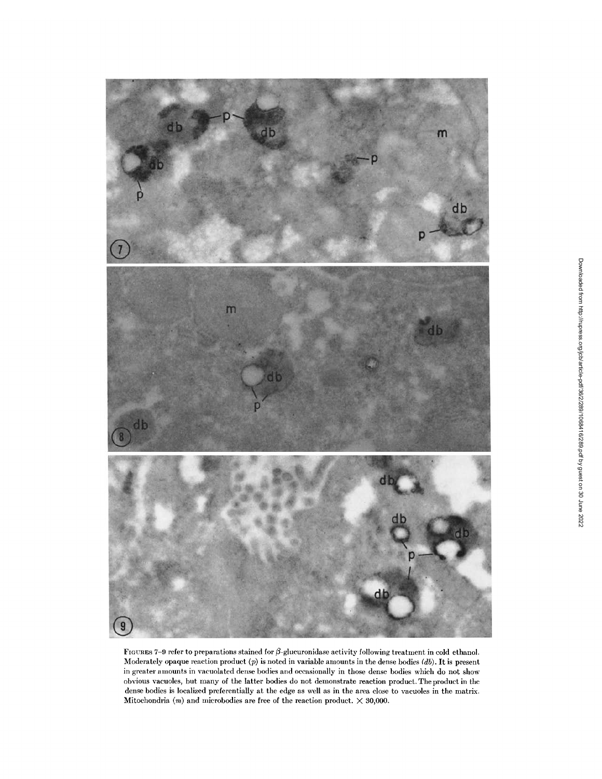

FIGURES 7–9 refer to preparations stained for  $\beta$ -glucuronidase activity following treatment in cold ethanol Moderately opaque reaction product (p) is noted in variable amounts in the dense bodies *(db).* It is present in greater amounts in vacuolated dense bodies and occasionally in those dense bodies which do not show obvious vacuoles, but many of the latter bodies do not demonstrate reaction product. The product in the dense bodies is localized preferentially at the edge as well as in the area close to vacuoles in the matrix. Mitochondria  $(m)$  and microbodies are free of the reaction product.  $\times$  30,000.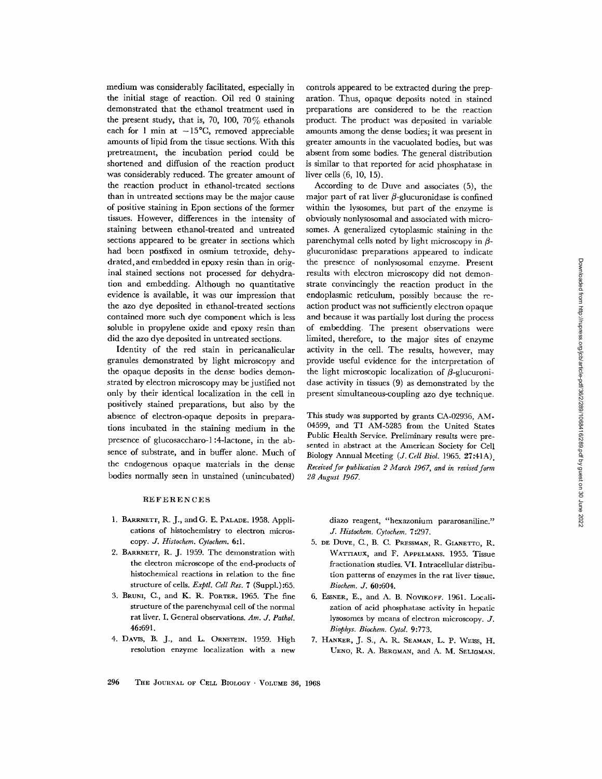medium was considerably facilitated, especially in the initial stage of reaction. Oil red 0 staining demonstrated that the ethanol treatment used in the present study, that is, 70, 100, 70 $\%$  ethanols each for 1 min at  $-15^{\circ}$ C, removed appreciable amounts of lipid from the tissue sections. With this pretreatment, the incubation period could be shortened and diffusion of the reaction product was considerably reduced. The greater amount of the reaction product in ethanol-treated sections than in untreated sections may be the major cause of positive staining in Epon sections of the former tissues. However, differences in the intensity of staining between ethanol-treated and untreated sections appeared to be greater in sections which had been postfixed in osmium tetroxide, dehydrated, and embedded in epoxy resin than in original stained sections not processed for dehydration and embedding. Although no quantitative evidence is available, it was our impression that the azo dye deposited in ethanol-treated sections contained more such dye component which is less soluble in propylene oxide and epoxy resin than did the azo dye deposited in untreated sections.

Identity of the red stain in pericanalicular granules demonstrated by light microscopy and the opaque deposits in the dense bodies demonstrated by electron microscopy may be justified not only by their identical localization in the cell in positively stained preparations, but also by the absence of electron-opaque deposits in preparations incubated in the staining medium in the presence of glucosaccharo-l :4-lactone, in the absence of substrate, and in buffer alone. Much of the endogenous opaque materials in the dense bodies normally seen in unstained (unincubated)

## REFERENCES

- 1. BARRNETT, R. J., and G. E. PALADE. 1958. Applications of histochemistry to electron microscopy. *J. Histochem. Cytochem.* 6:1.
- 2. BARRNETT, R. J. 1959. The demonstration with the electron microscope of the end-products of histochemical reactions in relation to the fine structure of cells. *Exptl. Cell Res.* 7 (Suppl.):65.
- 3. BRUNI, C., and K. R. PORTER. 1965. The fine structure of the parenchymal cell of the normal rat liver. I. General observations. *Am. J. Pathol.* 46:691.
- 4. DAVIS, B. J., and L. ORNSTEIN. 1959. High resolution enzyme localization with a new

controls appeared to be extracted during the preparation. Thus, opaque deposits noted in stained preparations are considered to be the reaction product. The product was deposited in variable amounts among the dense bodies; it was present in greater amounts in the vacuolated bodies, but was absent from some bodies. The general distribution is similar to that reported for acid phosphatase in liver cells (6, 10, 15).

According to de Duve and associates (5), the major part of rat liver  $\beta$ -glucuronidase is confined within the lysosomes, but part of the enzyme is obviously nonlysosomal and associated with microsomes. A generalized cytoplasmic staining in the parenchymal cells noted by light microscopy in  $\beta$ glucuronidase preparations appeared to indicate the presence of nonlysosomal enzyme. Present results with electron microscopy did not demonstrate convincingly the reaction product in the endoplasmic reticulum, possibly because the reaction product was not sufficiently electron opaque and because it was partially lost during the process of embedding. The present observations were limited, therefore, to the major sites of enzyme activity in the cell. The results, however, may provide useful evidence for the interpretation of the light microscopic localization of  $\beta$ -glucuronidase activity in tissues (9) as demonstrated by the present simultaneous-coupling azo dye technique.

This study was supported by grants CA-02936, AM-04599, and TI AM-5285 from the United States Public Health Service. Preliminary results were presented in abstract at the American Society for Cell Biology Annual Meeting *(J. Cell Biol.* 1965. 27:41A). *Receivedfor publication 2 March 1967, and in revisedform 28 August 1967.*

> diazo reagent, "hexazonium pararosaniline." *J. Histochem. Cytochem.* 7:297.

- 5. **DE** DUVE, C., B. C. **PRESSMAN,** R. **GIANETTO,** R. **WATTIAUX,** and F. APPELMANS. 1955. Tissue fractionation studies. VI. Intracellular distribution patterns of enzymes in the rat liver tissue. *Biochem. J.* 60:604.
- 6. ESSNER, E., and A. B. NOVIKOFF. 1961. Localization of acid phosphatase activity in hepatic lysosomes by means of electron microscopy. *J. Biophys. Biochem. Cytol.* 9:773.
- 7. HANKER, J. S., A. R. **SEAMAN,** L. P. WEISS, H. UENO, R. A. BERGMAN, and A. M. **SELIGMAN.**